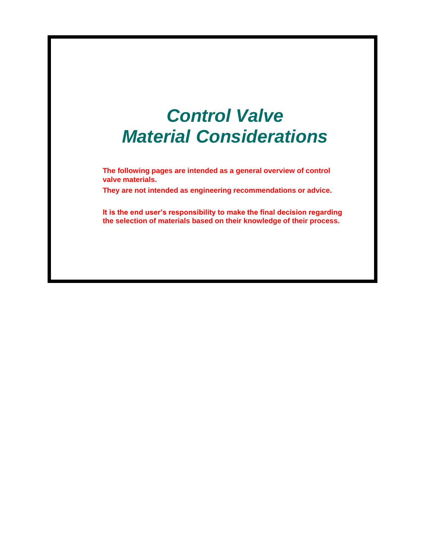# *Control Valve Material Considerations*

**The following pages are intended as a general overview of control valve materials.**

**They are not intended as engineering recommendations or advice.**

**It is the end user's responsibility to make the final decision regarding the selection of materials based on their knowledge of their process.**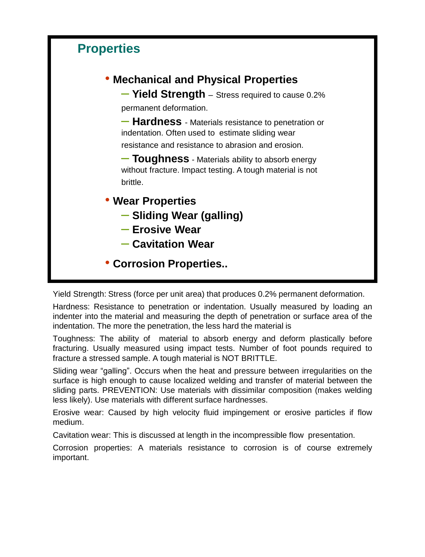

Yield Strength: Stress (force per unit area) that produces 0.2% permanent deformation.

Hardness: Resistance to penetration or indentation. Usually measured by loading an indenter into the material and measuring the depth of penetration or surface area of the indentation. The more the penetration, the less hard the material is

Toughness: The ability of material to absorb energy and deform plastically before fracturing. Usually measured using impact tests. Number of foot pounds required to fracture a stressed sample. A tough material is NOT BRITTLE.

Sliding wear "galling". Occurs when the heat and pressure between irregularities on the surface is high enough to cause localized welding and transfer of material between the sliding parts. PREVENTION: Use materials with dissimilar composition (makes welding less likely). Use materials with different surface hardnesses.

Erosive wear: Caused by high velocity fluid impingement or erosive particles if flow medium.

Cavitation wear: This is discussed at length in the incompressible flow presentation.

Corrosion properties: A materials resistance to corrosion is of course extremely important.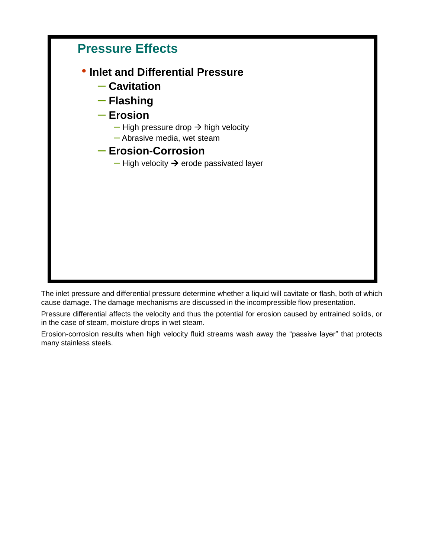

The inlet pressure and differential pressure determine whether a liquid will cavitate or flash, both of which cause damage. The damage mechanisms are discussed in the incompressible flow presentation.

Pressure differential affects the velocity and thus the potential for erosion caused by entrained solids, or in the case of steam, moisture drops in wet steam.

Erosion-corrosion results when high velocity fluid streams wash away the "passive layer" that protects many stainless steels.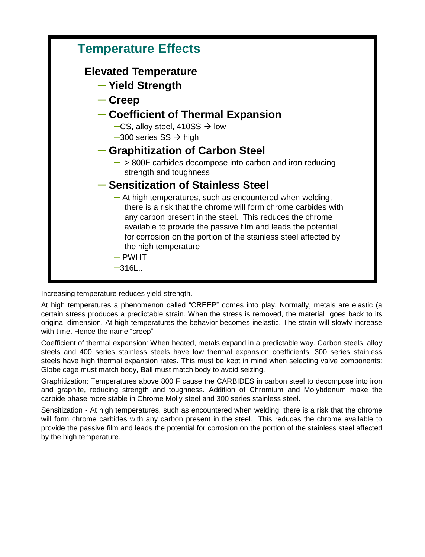

Increasing temperature reduces yield strength.

At high temperatures a phenomenon called "CREEP" comes into play. Normally, metals are elastic (a certain stress produces a predictable strain. When the stress is removed, the material goes back to its original dimension. At high temperatures the behavior becomes inelastic. The strain will slowly increase with time. Hence the name "creep"

Coefficient of thermal expansion: When heated, metals expand in a predictable way. Carbon steels, alloy steels and 400 series stainless steels have low thermal expansion coefficients. 300 series stainless steels have high thermal expansion rates. This must be kept in mind when selecting valve components: Globe cage must match body, Ball must match body to avoid seizing.

Graphitization: Temperatures above 800 F cause the CARBIDES in carbon steel to decompose into iron and graphite, reducing strength and toughness. Addition of Chromium and Molybdenum make the carbide phase more stable in Chrome Molly steel and 300 series stainless steel.

Sensitization - At high temperatures, such as encountered when welding, there is a risk that the chrome will form chrome carbides with any carbon present in the steel. This reduces the chrome available to provide the passive film and leads the potential for corrosion on the portion of the stainless steel affected by the high temperature.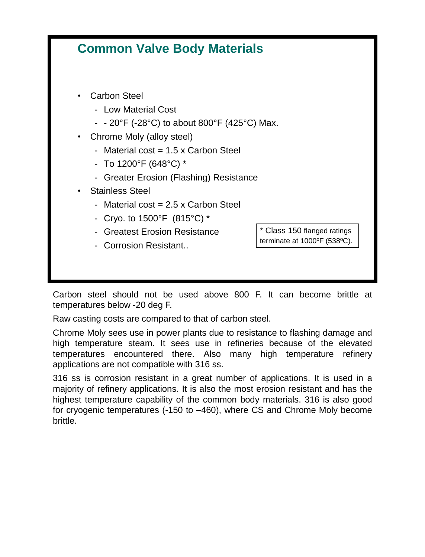

Carbon steel should not be used above 800 F. It can become brittle at temperatures below -20 deg F.

Raw casting costs are compared to that of carbon steel.

Chrome Moly sees use in power plants due to resistance to flashing damage and high temperature steam. It sees use in refineries because of the elevated temperatures encountered there. Also many high temperature refinery applications are not compatible with 316 ss.

316 ss is corrosion resistant in a great number of applications. It is used in a majority of refinery applications. It is also the most erosion resistant and has the highest temperature capability of the common body materials. 316 is also good for cryogenic temperatures (-150 to –460), where CS and Chrome Moly become brittle.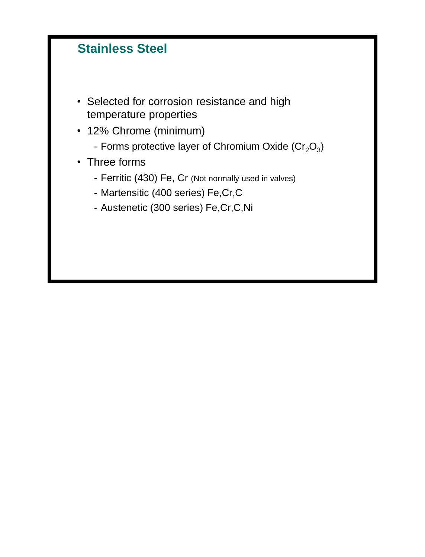# **Stainless Steel**

- Selected for corrosion resistance and high temperature properties
- 12% Chrome (minimum)
	- Forms protective layer of Chromium Oxide (Cr<sub>2</sub>O<sub>3</sub>)
- Three forms
	- Ferritic (430) Fe, Cr (Not normally used in valves)
	- Martensitic (400 series) Fe,Cr,C
	- Austenetic (300 series) Fe,Cr,C,Ni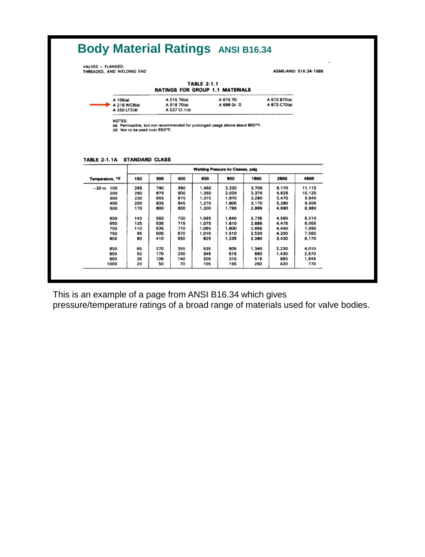| VALVES - FLANGED.<br>THREADED, AND WELDING END |                              |            |                                              |                    |                                        |                |                              | ASME/ANSI B16.34-1988 |
|------------------------------------------------|------------------------------|------------|----------------------------------------------|--------------------|----------------------------------------|----------------|------------------------------|-----------------------|
|                                                |                              |            |                                              | <b>TABLE 2-1.1</b> | <b>RATINGS FOR GROUP 1.1 MATERIALS</b> |                |                              |                       |
| A 105(a)                                       | A 216 WCB(a)<br>A 350 LF2(d) |            | A 515 70(a)<br>A 516 70(a)<br>A 537 Cl. 1(d) |                    | A 675 70<br>A 696 Gr. O                |                | A 672 B70(a)<br>A 672 C70(a) |                       |
| TABLE 2-1.1A STANDARD CLASS                    |                              |            |                                              |                    |                                        |                |                              |                       |
|                                                |                              |            |                                              |                    | Working Pressure by Classes, psig-     |                |                              |                       |
| Temperature, <sup>o</sup> F                    | 150                          | 300        | 400                                          | 600                | 900                                    | 1500           | 2500                         | 4500                  |
| $-20$ to 100                                   | 285                          | 740        | 990                                          | 1.480              | 2,220                                  | 3,705          | 6.170                        | 11,110                |
| 200                                            | 260                          | 675        | 900                                          | 1,350              | 2.025                                  | 3,375          | 5,625                        | 10.120                |
| 300                                            | 230                          | 655        | 875                                          | 1,315              | 1.970                                  | 3,280          | 5,470                        | 9,845                 |
| 400<br>500                                     | 200<br>170                   | 635<br>600 | 845<br>800                                   | 1,270<br>1.200     | 1,900<br>1.795                         | 3,170<br>2.995 | 5.280<br>4.990               | 9,505<br>8,980        |
|                                                |                              |            |                                              |                    |                                        |                |                              |                       |
| 600                                            | 140                          | 560        | 730                                          | 1.095              | 1,640                                  | 2.735          | 4,560                        | 8.210                 |
| 650<br>700                                     | 125<br>110                   | 535<br>535 | 715<br>710                                   | 1.075              | 1,610                                  | 2,685          | 4,475<br>4.440               | 8.055<br>7,990        |
| 750                                            | 95                           | 505        | 670                                          | 1,065              | 1,600                                  | 2,665          |                              | 7.560                 |
|                                                |                              |            |                                              | 1,010              | 1,510                                  | 2.520          | 4.200                        |                       |
| 800                                            | 80                           | 410        | 550                                          | 825                | 1,235                                  | 2.060          | 3,430                        | 6,170                 |
| 850                                            | 65                           | 270        | 355                                          | 535                | 805                                    | 1,340          | 2,230                        | 4,010                 |
| 900                                            | 50                           | 170        | 230                                          | 345                | 515                                    | 860            | 1,430                        | 2,570                 |
| 950<br>1000                                    | 35<br>20                     | 105<br>50  | 140<br>70                                    | 205<br>105         | 310                                    | 515<br>260     | 860<br>430                   | 1,545<br>770          |

This is an example of a page from ANSI B16.34 which gives

pressure/temperature ratings of a broad range of materials used for valve bodies.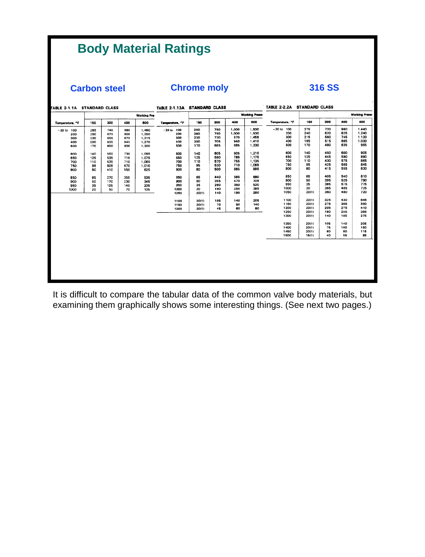# **Body Material Ratings**

**Carbon steel Chrome moly 316 SS**

| <b>TABLE 2-1.1A STANDARD CLASS</b> |     |     |     |                     | TABLE 2-1.13A STANDARD CLASS |       |     |       |                       | TABLE 2-2.2A STANDARD CLASS |       |     |     |                       |
|------------------------------------|-----|-----|-----|---------------------|------------------------------|-------|-----|-------|-----------------------|-----------------------------|-------|-----|-----|-----------------------|
|                                    |     |     |     | <b>Working Pres</b> |                              |       |     |       | <b>Working Press:</b> |                             |       |     |     | <b>Working Press:</b> |
| Temperature, <sup>o</sup> F        | 150 | 300 | 400 | 600                 | Temperature, <sup>o</sup> F  | 150   | 300 | 400   | 600                   | Temperature, <sup>o</sup> F | 150   | 300 | 400 | 600                   |
| $-20$ to 100                       | 285 | 740 | 990 | 1,480               | $-20$ to $100$               | 290   | 750 | 1,000 | 1,500                 | $-20$ to 100                | 275   | 720 | 960 | 1,440                 |
| 200                                | 260 | 675 | 900 | 1.350               | 200                          | 260   | 750 | 1,000 | 1,500                 | 200                         | 240   | 620 | 825 | 1,240                 |
| 300                                | 230 | 655 | 875 | 1,315               | 300                          | 230   | 730 | 970   | 1,455                 | 300                         | 215   | 560 | 745 | 1.120                 |
| 400                                | 200 | 635 | 845 | 1,270               | 400                          | 200   | 705 | 940   | 1,410                 | 400                         | 195   | 515 | 685 | 1,030                 |
| 500                                | 170 | 600 | 800 | 1,200               | 500                          | 170   | 665 | 885   | 1,330                 | 500                         | 170   | 480 | 635 | 955                   |
| 600                                | 140 | 550 | 730 | 1,095               | 600                          | 140   | 605 | 805   | 1,210                 | 600                         | 140   | 450 | 600 | 905                   |
| 650                                | 125 | 535 | 715 | 1.075               | 650                          | 125   | 590 | 785   | 1,175                 | 650                         | 125   | 445 | 590 | 890                   |
| 700                                | 110 | 535 | 710 | 1,065               | 700                          | 110   | 570 | 755   | 1,135                 | 700                         | 110   | 430 | 575 | 865                   |
| 750                                | 95  | 505 | 670 | 1,010               | 750                          | 95    | 530 | 710   | 1,065                 | 750                         | 95    | 425 | 565 | 845                   |
| 800                                | 80  | 410 | 550 | 825                 | 800                          | 80    | 500 | 665   | 995                   | 800                         | 80    | 415 | 555 | 830                   |
| 850                                | 65  | 270 | 355 | 535                 | 850                          | 65    | 440 | 585   | 880                   | 850                         | 65    | 405 | 540 | 810                   |
| 900                                | 50  | 170 | 230 | 345                 | 900                          | 50    | 355 | 470   | 705                   | 900                         | 50    | 395 | 525 | 790                   |
| 950                                | 35  | 105 | 140 | 205                 | 950                          | 35    | 260 | 350   | 520                   | 950                         | 35    | 385 | 515 | 775                   |
| 1000                               | 20  | 50  | 70  | 105                 | 1000                         | 20    | 190 | 255   | 385                   | 1000                        | 20    | 365 | 485 | 725                   |
|                                    |     |     |     |                     | 1050                         | 20(1) | 140 | 190   | 280                   | 1050                        | 20(1) | 360 | 480 | 720                   |
|                                    |     |     |     |                     | 1100                         | 20(1) | 105 | 140   | 205                   | 1100                        | 20(1) | 325 | 430 | 645                   |
|                                    |     |     |     |                     | 1150                         | 20(1) | 70  | 90    | 140                   | 1150                        | 20(1) | 275 | 365 | 550                   |
|                                    |     |     |     |                     | 1200                         | 20(1) | 45  | 60    | 90                    | 1200                        | 20(1) | 205 | 275 | 410                   |
|                                    |     |     |     |                     |                              |       |     |       |                       | 1250                        | 20(1) | 180 | 245 | 365                   |
|                                    |     |     |     |                     |                              |       |     |       |                       | 1300                        | 20(1) | 140 | 185 | 275                   |
|                                    |     |     |     |                     |                              |       |     |       |                       | 1350                        | 20(1) | 105 | 140 | 205                   |
|                                    |     |     |     |                     |                              |       |     |       |                       | 1400                        | 20(1) | 75  | 100 | 150                   |
|                                    |     |     |     |                     |                              |       |     |       |                       | 1450                        | 20(1) | 60  | 80  | 115                   |
|                                    |     |     |     |                     |                              |       |     |       |                       | 1500                        | 15(1) | 40  | 55  | 85                    |
|                                    |     |     |     |                     |                              |       |     |       |                       |                             |       |     |     |                       |
|                                    |     |     |     |                     |                              |       |     |       |                       |                             |       |     |     |                       |
|                                    |     |     |     |                     |                              |       |     |       |                       |                             |       |     |     |                       |
|                                    |     |     |     |                     |                              |       |     |       |                       |                             |       |     |     |                       |
|                                    |     |     |     |                     |                              |       |     |       |                       |                             |       |     |     |                       |
|                                    |     |     |     |                     |                              |       |     |       |                       |                             |       |     |     |                       |
|                                    |     |     |     |                     |                              |       |     |       |                       |                             |       |     |     |                       |

It is difficult to compare the tabular data of the common valve body materials, but examining them graphically shows some interesting things. (See next two pages.)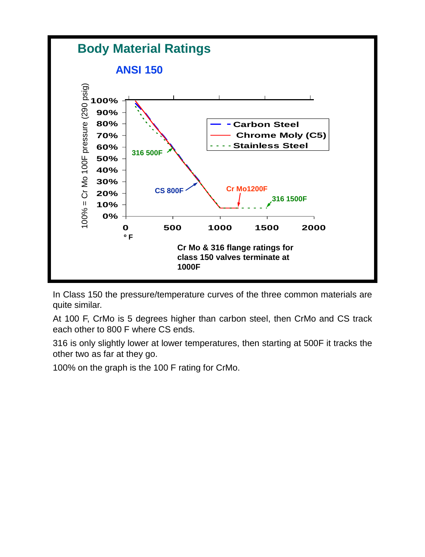

In Class 150 the pressure/temperature curves of the three common materials are quite similar.

At 100 F, CrMo is 5 degrees higher than carbon steel, then CrMo and CS track each other to 800 F where CS ends.

316 is only slightly lower at lower temperatures, then starting at 500F it tracks the other two as far at they go.

100% on the graph is the 100 F rating for CrMo.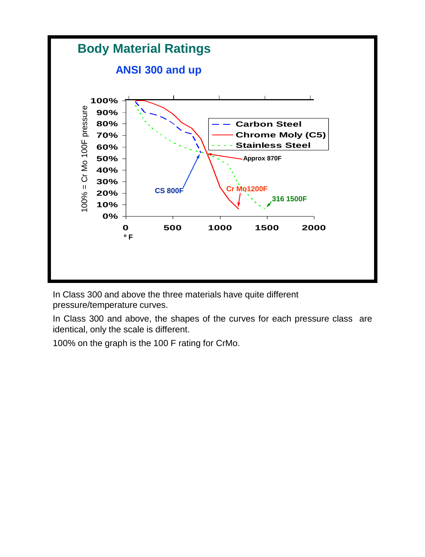

In Class 300 and above the three materials have quite different pressure/temperature curves.

In Class 300 and above, the shapes of the curves for each pressure class are identical, only the scale is different.

100% on the graph is the 100 F rating for CrMo.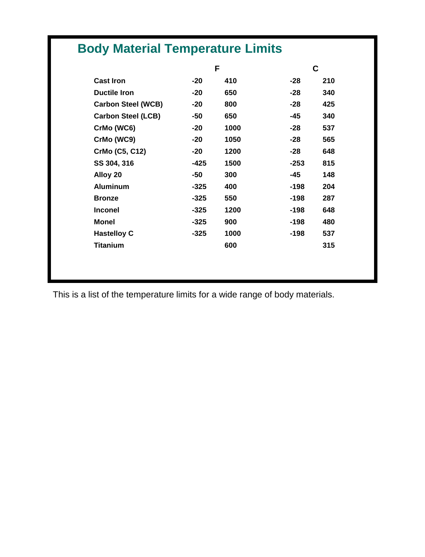|                           | F      |      | C      |     |
|---------------------------|--------|------|--------|-----|
| <b>Cast Iron</b>          | $-20$  | 410  | $-28$  | 210 |
| <b>Ductile Iron</b>       | $-20$  | 650  | $-28$  | 340 |
| <b>Carbon Steel (WCB)</b> | $-20$  | 800  | $-28$  | 425 |
| <b>Carbon Steel (LCB)</b> | -50    | 650  | -45    | 340 |
| CrMo (WC6)                | $-20$  | 1000 | $-28$  | 537 |
| CrMo (WC9)                | $-20$  | 1050 | $-28$  | 565 |
| CrMo (C5, C12)            | $-20$  | 1200 | -28    | 648 |
| SS 304, 316               | $-425$ | 1500 | $-253$ | 815 |
| Alloy 20                  | -50    | 300  | -45    | 148 |
| <b>Aluminum</b>           | $-325$ | 400  | $-198$ | 204 |
| <b>Bronze</b>             | $-325$ | 550  | $-198$ | 287 |
| <b>Inconel</b>            | $-325$ | 1200 | $-198$ | 648 |
| <b>Monel</b>              | $-325$ | 900  | $-198$ | 480 |
| <b>Hastelloy C</b>        | $-325$ | 1000 | $-198$ | 537 |
| <b>Titanium</b>           |        | 600  |        | 315 |

This is a list of the temperature limits for a wide range of body materials.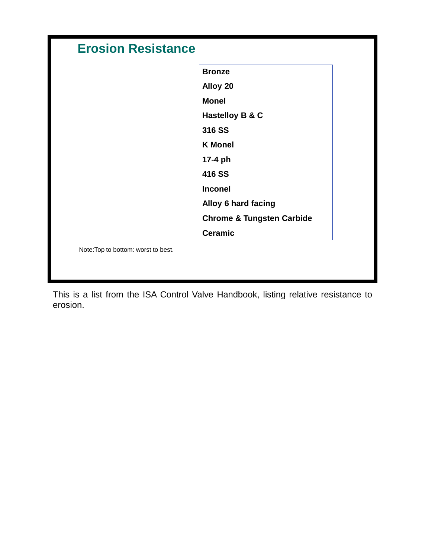|                                     | <b>Bronze</b>                        |
|-------------------------------------|--------------------------------------|
|                                     | Alloy 20                             |
|                                     | <b>Monel</b>                         |
|                                     | Hastelloy B & C                      |
|                                     | 316 SS                               |
|                                     | <b>K</b> Monel                       |
|                                     | 17-4 ph                              |
|                                     | 416 SS                               |
|                                     | <b>Inconel</b>                       |
|                                     | <b>Alloy 6 hard facing</b>           |
|                                     | <b>Chrome &amp; Tungsten Carbide</b> |
|                                     | <b>Ceramic</b>                       |
| Note: Top to bottom: worst to best. |                                      |

This is a list from the ISA Control Valve Handbook, listing relative resistance to erosion.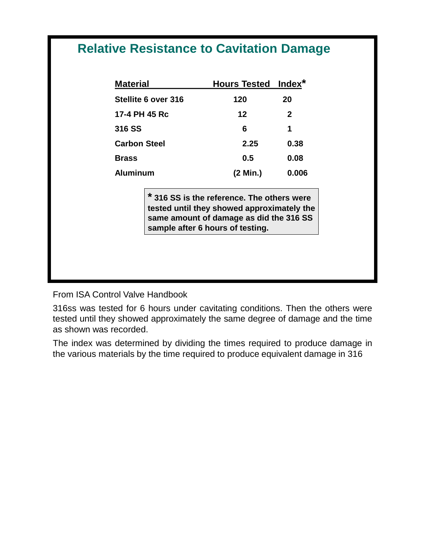### **Relative Resistance to Cavitation Damage**

| <b>Material</b>     | <b>Hours Tested Index*</b> |              |
|---------------------|----------------------------|--------------|
| Stellite 6 over 316 | 120                        | 20           |
| 17-4 PH 45 Rc       | 12                         | $\mathbf{2}$ |
| 316 SS              | 6                          | 1            |
| <b>Carbon Steel</b> | 2.25                       | 0.38         |
| <b>Brass</b>        | 0.5                        | 0.08         |
| <b>Aluminum</b>     | (2 Min.)                   | 0.006        |

**\* 316 SS is the reference. The others were tested until they showed approximately the same amount of damage as did the 316 SS sample after 6 hours of testing.**

From ISA Control Valve Handbook

316ss was tested for 6 hours under cavitating conditions. Then the others were tested until they showed approximately the same degree of damage and the time as shown was recorded.

The index was determined by dividing the times required to produce damage in the various materials by the time required to produce equivalent damage in 316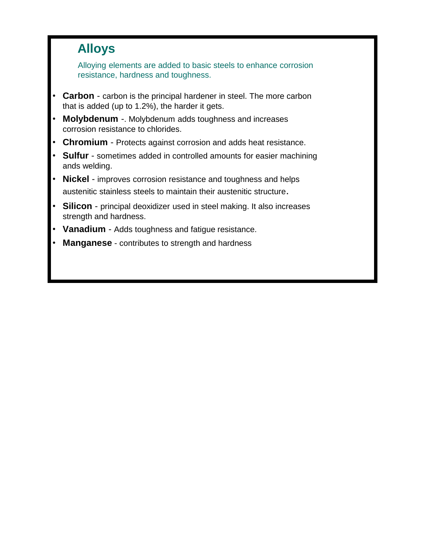#### **Alloys**

Alloying elements are added to basic steels to enhance corrosion resistance, hardness and toughness.

- **Carbon** carbon is the principal hardener in steel. The more carbon that is added (up to 1.2%), the harder it gets.
- **Molybdenum** -. Molybdenum adds toughness and increases corrosion resistance to chlorides.
- **Chromium** Protects against corrosion and adds heat resistance.
- **Sulfur**  sometimes added in controlled amounts for easier machining ands welding.
- **Nickel**  improves corrosion resistance and toughness and helps austenitic stainless steels to maintain their austenitic structure.
- **Silicon** principal deoxidizer used in steel making. It also increases strength and hardness.
- **Vanadium** Adds toughness and fatigue resistance.
- **Manganese** contributes to strength and hardness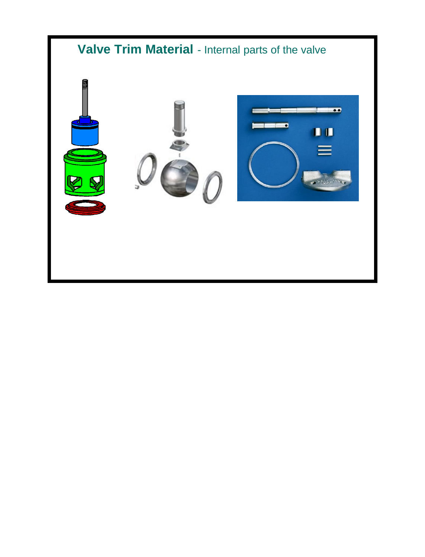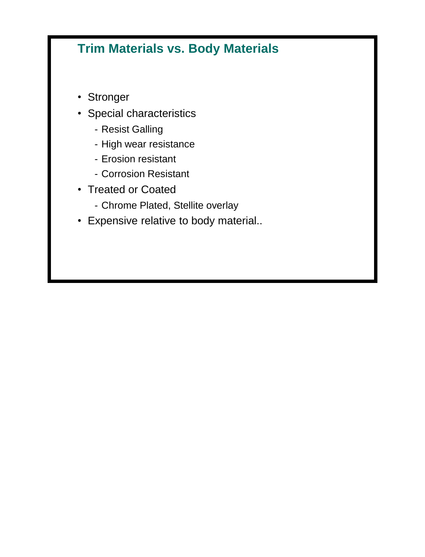# **Trim Materials vs. Body Materials**

- Stronger
- Special characteristics
	- Resist Galling
	- High wear resistance
	- Erosion resistant
	- Corrosion Resistant
- Treated or Coated
	- Chrome Plated, Stellite overlay
- Expensive relative to body material..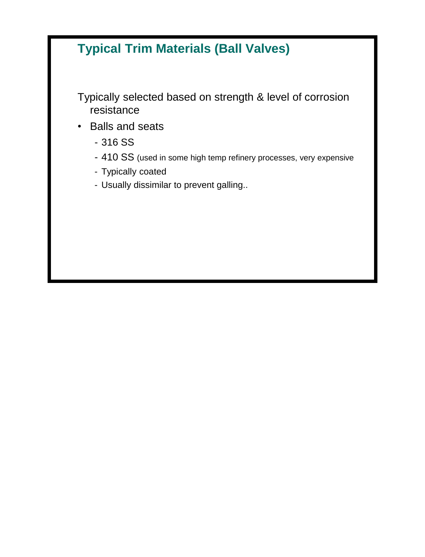# **Typical Trim Materials (Ball Valves)**

Typically selected based on strength & level of corrosion resistance

- Balls and seats
	- 316 SS
	- 410 SS (used in some high temp refinery processes, very expensive
	- Typically coated
	- Usually dissimilar to prevent galling..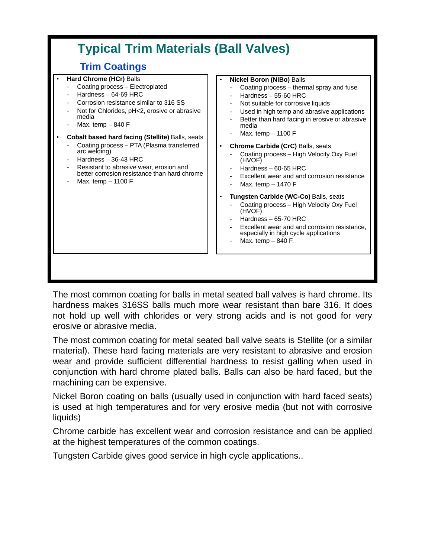

The most common coating for balls in metal seated ball valves is hard chrome. Its hardness makes 316SS balls much more wear resistant than bare 316. It does not hold up well with chlorides or very strong acids and is not good for very erosive or abrasive media.

The most common coating for metal seated ball valve seats is Stellite (or a similar material). These hard facing materials are very resistant to abrasive and erosion wear and provide sufficient differential hardness to resist galling when used in conjunction with hard chrome plated balls. Balls can also be hard faced, but the machining can be expensive.

Nickel Boron coating on balls (usually used in conjunction with hard faced seats) is used at high temperatures and for very erosive media (but not with corrosive liquids)

Chrome carbide has excellent wear and corrosion resistance and can be applied at the highest temperatures of the common coatings.

Tungsten Carbide gives good service in high cycle applications..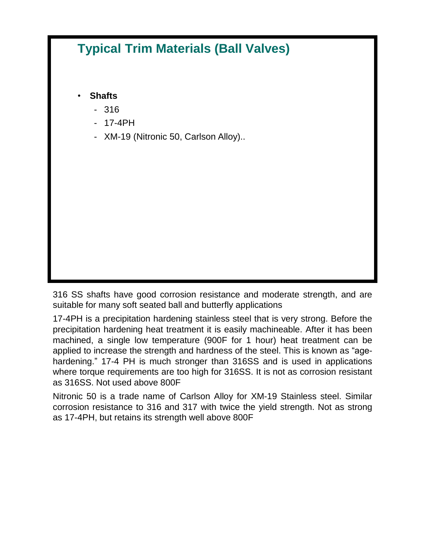# **Typical Trim Materials (Ball Valves)**

• **Shafts**

- 316
- 17-4PH
- XM-19 (Nitronic 50, Carlson Alloy)..

316 SS shafts have good corrosion resistance and moderate strength, and are suitable for many soft seated ball and butterfly applications

17-4PH is a precipitation hardening stainless steel that is very strong. Before the precipitation hardening heat treatment it is easily machineable. After it has been machined, a single low temperature (900F for 1 hour) heat treatment can be applied to increase the strength and hardness of the steel. This is known as "agehardening." 17-4 PH is much stronger than 316SS and is used in applications where torque requirements are too high for 316SS. It is not as corrosion resistant as 316SS. Not used above 800F

Nitronic 50 is a trade name of Carlson Alloy for XM-19 Stainless steel. Similar corrosion resistance to 316 and 317 with twice the yield strength. Not as strong as 17-4PH, but retains its strength well above 800F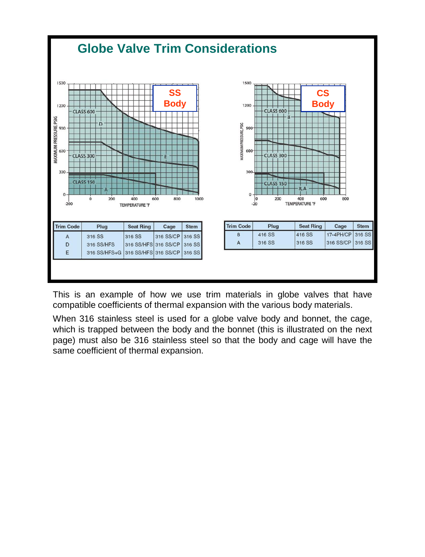

This is an example of how we use trim materials in globe valves that have compatible coefficients of thermal expansion with the various body materials.

When 316 stainless steel is used for a globe valve body and bonnet, the cage, which is trapped between the body and the bonnet (this is illustrated on the next page) must also be 316 stainless steel so that the body and cage will have the same coefficient of thermal expansion.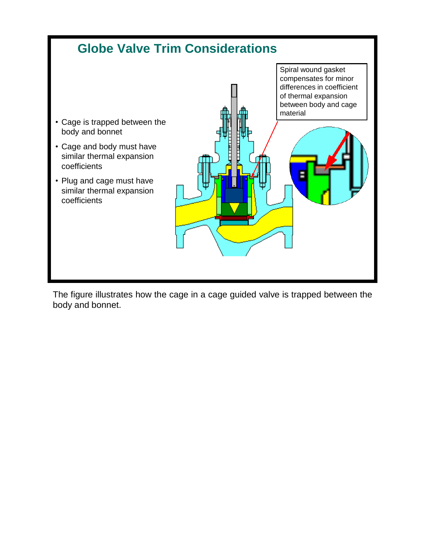

The figure illustrates how the cage in a cage guided valve is trapped between the body and bonnet.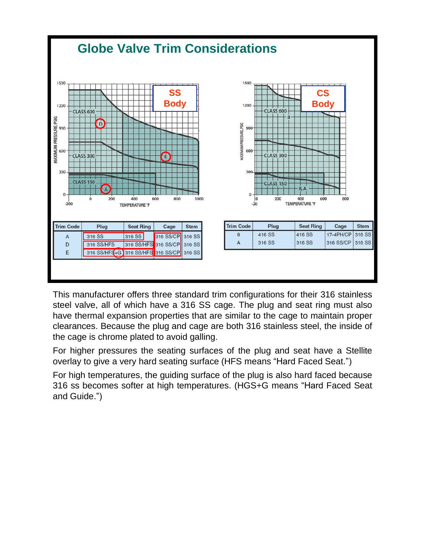

This manufacturer offers three standard trim configurations for their 316 stainless steel valve, all of which have a 316 SS cage. The plug and seat ring must also have thermal expansion properties that are similar to the cage to maintain proper clearances. Because the plug and cage are both 316 stainless steel, the inside of the cage is chrome plated to avoid galling.

For higher pressures the seating surfaces of the plug and seat have a Stellite overlay to give a very hard seating surface (HFS means "Hard Faced Seat.")

For high temperatures, the guiding surface of the plug is also hard faced because 316 ss becomes softer at high temperatures. (HGS+G means "Hard Faced Seat and Guide.")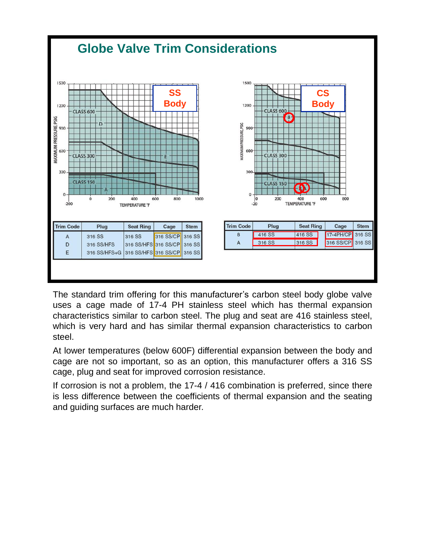

The standard trim offering for this manufacturer's carbon steel body globe valve uses a cage made of 17-4 PH stainless steel which has thermal expansion characteristics similar to carbon steel. The plug and seat are 416 stainless steel, which is very hard and has similar thermal expansion characteristics to carbon steel.

At lower temperatures (below 600F) differential expansion between the body and cage are not so important, so as an option, this manufacturer offers a 316 SS cage, plug and seat for improved corrosion resistance.

If corrosion is not a problem, the 17-4 / 416 combination is preferred, since there is less difference between the coefficients of thermal expansion and the seating and guiding surfaces are much harder.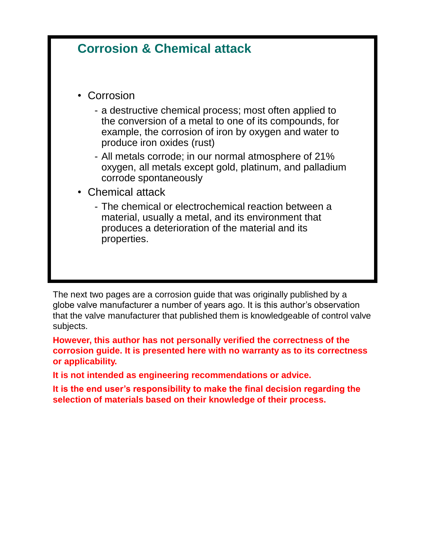### **Corrosion & Chemical attack**

- Corrosion
	- a destructive chemical process; most often applied to the conversion of a metal to one of its compounds, for example, the corrosion of iron by oxygen and water to produce iron oxides (rust)
	- All metals corrode; in our normal atmosphere of 21% oxygen, all metals except gold, platinum, and palladium corrode spontaneously
- Chemical attack
	- The chemical or electrochemical reaction between a material, usually a metal, and its environment that produces a deterioration of the material and its properties.

The next two pages are a corrosion guide that was originally published by a globe valve manufacturer a number of years ago. It is this author's observation that the valve manufacturer that published them is knowledgeable of control valve subjects.

**However, this author has not personally verified the correctness of the corrosion guide. It is presented here with no warranty as to its correctness or applicability.**

**It is not intended as engineering recommendations or advice.**

**It is the end user's responsibility to make the final decision regarding the selection of materials based on their knowledge of their process.**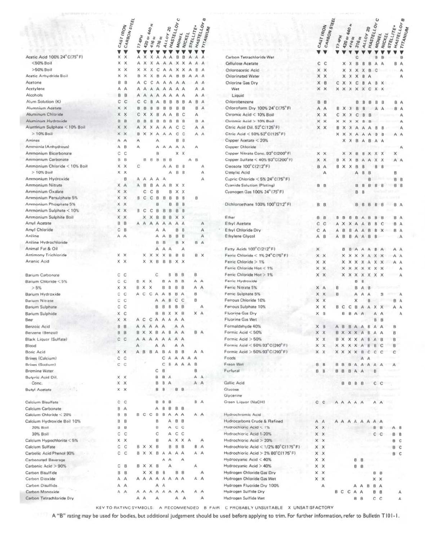|                              | CARBON STEEL                       |                   |                                |                               |               |               | u                |                |           |     | 42                 |                                         |
|------------------------------|------------------------------------|-------------------|--------------------------------|-------------------------------|---------------|---------------|------------------|----------------|-----------|-----|--------------------|-----------------------------------------|
|                              | CAST IRON                          |                   |                                | 胃                             |               |               | <b>HASTELLOY</b> |                | STELLITE. |     | <b>HASTELLOY F</b> |                                         |
|                              |                                    |                   | 440                            |                               |               | ALLOY 20      |                  | <b>MONEL</b>   | NICKEL    |     | TITANIUM           |                                         |
|                              |                                    | 174P <sub>H</sub> | ð.<br>420                      | $\frac{10}{25}$<br>416<br>316 | <b>M</b>      |               |                  |                |           |     |                    |                                         |
|                              |                                    |                   |                                |                               |               |               |                  |                |           |     |                    |                                         |
| Acetic Acid 100% 24° C(75°F) | v<br>$\mathbf{v}$<br>×<br>$\times$ | А                 | ×                              | X<br>А                        | А             | А             | B                | B              | А         | А   | А                  |                                         |
| <50% Boil                    | X<br>$\times$                      | А                 | ×                              | X<br>А                        | А             | A             | $\times$         | x              | А         | А   | А                  | Carbon Tetrachloride Wet                |
| >50% Boil                    | ×<br>×                             | ×                 | ×                              | X<br>C                        |               | А             | х                | ×              | Δ         | B   | А                  | <b>Cellulose Acetate</b>                |
| Acetic Anhydride Boil        | ×<br>$\mathbf{x}$                  | B                 | ×                              | $\mathsf{x}$<br>8             | А             | A             | в                | B              | А         | А   | А                  | Chloroacetic Acid                       |
|                              |                                    |                   |                                |                               |               |               |                  |                |           |     |                    | Chlorinated Water                       |
| Acetone                      | 8<br>B                             | А                 | С                              | с<br>А                        | А             | Α             | A                | A              |           | А   | Α                  | Chlorine Gas Dry                        |
| Acetylene                    | А<br>А                             | А                 | А                              | А<br>Α                        | А             | А             | А                | А              |           | А   | А                  | Wet                                     |
| Alcohols                     | B<br>B                             | А                 | A                              | А                             | А             | Ά             | А                | Α              |           | А   | A                  | Liquid                                  |
| Alum Solution (K)            | С<br>C                             | C                 | с                              | B<br>А                        | в             | B             | B                | в              | А         | B   | A                  | Chlorobenzene                           |
| Alumnium Acetate             | ×<br>$\times$                      | B                 | 8                              | B<br>в                        | 8             | $\mathbf B$   | B                | 8              |           | B   | A                  | Chloroform Dry 100% 24 C(75°F)          |
| Aluminum Chloride            | x x                                | С                 | х                              | х<br>B                        | А             | А             | B                | C              |           | Α   |                    | Chromic Acid < 10% Boil                 |
| Aluminum Hydroxide           | B B                                | B                 | B                              | B<br>B                        | 8             | B             | B                | B              |           | B   | -A                 | Chromic Acid > 10% Boil                 |
| Aluminum Sulphate < 10% Boil | x x                                | А                 | x<br>x                         | А                             | А             | Α             | C                | C              |           |     | A A                | Citric Acid Dil. 52 C(125 F)            |
| $>10%$ Boil                  | x x                                | B                 | ×<br>$\boldsymbol{\mathsf{x}}$ | А                             | А             | A             | C                | C              |           |     | A A                | Citric Acid < 50% 52° C(125° F)         |
| Amines                       | А<br>$\overline{A}$                | A                 |                                | А                             |               |               | B                | $\theta$       |           |     |                    | Copper Acetate < 20%                    |
| Ammonia (Anhydrous)          | А<br>B                             | А                 |                                | А                             | А             | $\mathbf{A}$  | А                | A              |           | А   |                    | Copper Chloride                         |
| Ammonium Bicarbonate         | с<br>C                             |                   |                                | B                             |               |               | ×                | X              |           |     |                    | Copper Nitrate Conc. 93" C(200° F)      |
| Ammonium Carbonate           | в<br>B                             |                   | B<br>B                         | $\overline{B}$                | B             | B             |                  |                | А         | B   |                    | Copper Sulfate < 40% 93°C(200" F)       |
| Ammonium Chloride < 10% Boil | X X                                | c                 |                                |                               | А             | Α             | B                | $\overline{a}$ |           |     | А                  | Creosote 100°C(212°F)                   |
| $>10\%$ Boil                 | X X                                |                   |                                |                               |               | Α             | B                | B              |           |     | А                  | Cresylic Acid                           |
| Ammonium Hydroxide           | B                                  |                   | А<br>А                         | А                             |               |               |                  |                |           |     | А                  | Cupric Chloride $\leq 5\%$ 24° C(75° F) |
| Ammonium Nitrate             | X A                                |                   | B                              | B<br>А                        | А             | B             | ×                | х              |           |     |                    | <b>Cyanide Solution (Plating)</b>       |
| Ammonium Oxalate             | x x                                |                   | C                              | C<br>B                        |               | B             | ×                | X              |           |     |                    | Cyanogen Gas 100% 24° (75°F)            |
| Ammonium Persulphate 5%      | X X                                | B                 | C<br>C                         | B                             | B             | B             | B                | B              |           | B   |                    |                                         |
| Ammonium Phosphate 5%        | X X                                |                   |                                | B                             |               | B             | B                | $\bf{B}$       |           |     |                    | Dichloroethane 100% 100°(212°F)         |
| Ammonium Sulphate < 10%      | X X                                |                   |                                |                               |               |               |                  |                |           |     |                    |                                         |
|                              |                                    |                   | C                              | B<br>с                        | B             | B             | B                | B              |           |     |                    |                                         |
| Ammonium Sulphite Boil       | X X                                |                   | ×<br>x                         | B                             | B             | B             | ×                | X              |           |     |                    | Ether                                   |
| Amyl Acetate                 | в<br>B                             |                   | A<br>Α                         | Α                             | А             | А             | А                | Α              |           |     | А                  | Ethyl Acetate                           |
| Amyl Chloride                | С<br>- B                           |                   |                                | А                             | Ά             |               | B                | B              |           |     | Α                  | Ethyl Chloride Dry                      |
| Aniline                      | A A                                |                   |                                | А                             |               | B             | B                | B              |           |     | А                  | Ethylene Glycol                         |
| Aniline Hydrochloride        |                                    |                   |                                | B                             | B             |               | B                | ×              |           | B A |                    |                                         |
| Animal Fat & Oil             |                                    |                   |                                | A                             | Α             | А             |                  | Α              |           |     |                    | Fatty Acid: 100°C(212°F)                |
| Antimony Trichloride         | X X                                |                   | x<br>x                         | ×                             | ×             | B             | B                | B              |           |     | B X                | Ferric Chloride < $1\%$ 24°C(75°F)      |
| Arsenic Acid                 | x x                                |                   | ×<br>x                         | B                             | 8             | B             | $\mathsf{x}$     | ×              |           |     |                    | Ferric Chloride > 1%                    |
|                              |                                    |                   |                                |                               |               |               |                  |                |           |     |                    | Ferric Chloride Hot < 1%                |
| <b>Barium Carbonate</b>      | C<br>C                             |                   |                                | c                             |               | B             | B                | B              |           | B   |                    | Ferric Chloride Hot > 1%                |
| Barium Chloride <5%          | Č<br>C                             | В.<br>x           | $\times$                       |                               | B             | А             | B                | B              |           | А   | Α                  | Ferric Hydroxide                        |
| > 5%                         | x x                                | x<br>B.           | $\times$                       |                               | B             | B             | B                | 8              |           | А   | A                  | Ferric Nitrate 5%                       |
| Barium Hydroxide             | C<br>$\mathbb{C}$                  | C<br>А            | $\mathbf C$                    | $\mathbb{A}$                  | $\mathcal{A}$ | B             | B                | Α              |           | в   |                    | Ferric Sulphate 5%                      |
| Barium Nitrate               | c<br>C                             |                   |                                | А                             | Α             | В             | с                | с              |           | B   |                    | Ferrous Chloride 10%                    |
| <b>Barium Sulphate</b>       | C<br>с                             |                   |                                | в                             | B             | B             | B                | B              |           |     | А                  | Ferrous Sulphate 10%                    |
| Barium Sulphide              | X C                                |                   |                                | B                             | B             | $\times$      | ×                | B              |           | ×   | А                  | Fluorine Gas Dry                        |
|                              |                                    |                   |                                |                               |               |               |                  |                |           |     |                    |                                         |
| Beer                         | X X                                |                   | C<br>с                         | $\mathbf{A}$                  | A             | Α             | А                | Α              |           |     |                    | Fluorine Gas Wet                        |
| Benzoic Acid                 | <b>B B</b>                         |                   | А                              | д                             | Α             |               | А                | А              |           |     |                    | Formaldehyde 40%                        |
| Benzene (Benzol)             | <b>B</b> B                         | B<br>×            | x                              | 8                             | А             | B             | A                | A              |           | B A |                    | Formic Acid $< 50\%$                    |
| Black Liquor (Sulfate)       | $C$ $C$                            | А<br>A            | $\mathbf{A}$                   | А                             | А             | $\mathcal{A}$ | А                | А              |           |     |                    | Formic Acid > 50%                       |
| Blood                        |                                    | А                 |                                | А                             | А             |               | А                | Α              |           |     |                    | Formic Acid < 50% 93°C(200°F)           |
| <b>Boric Acid</b>            | X X                                | B<br>А            | B                              | А                             | в             | Α             | B                | в              |           | А   | A                  | Formic Acid > 50% 93" C(200°F)          |
| Brines (Calcium)             | $C$ $C$                            |                   |                                |                               | С             | А             | А                | А              | А         | A   |                    | Foods                                   |
| Brines (Sodium)              | $C$ $C$                            |                   |                                |                               |               | 8             | А                | А              | Α         | B   |                    | Freon Wet                               |
| <b>Bromine Water</b>         |                                    |                   |                                | С                             | B             |               |                  |                |           | B   |                    | Furfural                                |
| Butyric Acid Dil.            | X X                                |                   |                                | В                             | B             | ் A           |                  |                |           | A A |                    |                                         |
| Conc.                        | X X                                |                   |                                | B                             | B             | А             |                  |                |           | A A |                    | Gallic Acid                             |
| <b>Butyl Acetate</b>         | X X                                |                   |                                | 8                             | в             |               | в                | B              |           |     |                    | Glucose                                 |
|                              |                                    |                   |                                |                               |               |               |                  |                |           |     |                    | Glycerine                               |
| Calcium Bisulfate            | c c                                |                   |                                | B                             | 8             | в             |                  |                |           | B A |                    | Green Liquar (NaOH)                     |
| Calcium Carbonate            | B A                                |                   |                                | А                             | B             | B             | В                | B              |           |     |                    |                                         |
| Calcium Chloride < 20%       | B B                                | 8                 | $C$ $C$                        | <b>B</b>                      | B             | А             | А                | A              |           | A A |                    | Hydrochromic Acid                       |
| Calcium Hydroxide Boil 10%   | B B                                |                   |                                | B                             |               | А             | B                | 8              |           |     |                    | Hydrocarbons Crude & Refined            |
| 20% Boil                     | <b>B</b><br>$\theta$               |                   |                                | B                             |               | А             | c                | C              |           |     |                    | Hydrochloric Acid < 1%                  |
|                              | C                                  |                   |                                | Ċ                             |               | А             | С                | с              |           |     |                    |                                         |
| 30% Boil                     | с                                  |                   |                                |                               |               |               |                  |                |           |     |                    | Hydrochloric Acid 1-20%                 |
| Calcium Hypochlorite $< 5\%$ | x x                                |                   |                                | B                             |               | Α             | x                | X A            |           |     | Α                  | Hydrochloric Acid > 20%                 |
| Calcium Sulfate              | C<br>$\mathbf{C}$                  | в                 | X X                            | B                             |               | B             | B                | B              |           | B A |                    | Hydrochloric Acid < 1/2% 80°C(175°F)    |
| Carbolic Acid Phenol 90%     | $C$ $C$                            | В                 | X X                            | в                             | А             | А             | А                | A              |           | A A |                    | Hydrochloric Acid > 2% 80°C(175°F)      |
| Carbonated Beverage          |                                    |                   |                                |                               | A             | A             |                  | А              |           |     |                    | Hydrocyanic Acid < 40%                  |
| Carbonic Acid > 90%          | B<br>С                             | B X X             |                                | B                             |               | A             |                  |                |           | А   |                    | Hydrocyanic Acid > 40%                  |
| Carbon Bisulfide             | B<br>$\mathbf{B}$                  |                   | X X                            | $\theta$                      | B             |               | B                | 8              |           |     | $\mathsf{A}$       | Hydrogen Chloride Gas Dry               |
| Carbon Dioxide               | A A                                | AAA               |                                | Α                             | Α             | Α             | Α                | А              |           | A A |                    | Hydrogen Chloride Gas Wet               |
| Carbon Disulfide             | A A                                |                   |                                | А                             | А             |               |                  |                |           |     |                    | Hydrogen Fluoride Dry 100%              |
| Carbon Monoxide              | $\Lambda$<br>А                     | А                 | A<br>A                         | А                             |               | A A           | А                |                |           |     | A                  | Hydrogen Sulfide Dry                    |
| Carbon Tetrachloride Dry     |                                    | A A               |                                | Α                             |               |               | А                | $\mathbf{A}$   |           |     | Α                  | Hydrogen Sulfide Wet                    |
|                              |                                    |                   |                                |                               |               |               |                  |                |           |     |                    |                                         |

KEY TO RATING SYMBOLS: A RECOMMENDED B FAIR C PROBABLY UNSUITABLE X UNSATISFACTORY

A "B" rating may be used for bodies, but additional judgement should be used before applying to trim. For further information, refer to Bulletin T101-1.

|             |              |                        |                |               |                |                    |               |                               |                |     |               |                                                         |            |                           |             |                |                                   |                 |              |                       | u                |                           |                   | œ                      |          |
|-------------|--------------|------------------------|----------------|---------------|----------------|--------------------|---------------|-------------------------------|----------------|-----|---------------|---------------------------------------------------------|------------|---------------------------|-------------|----------------|-----------------------------------|-----------------|--------------|-----------------------|------------------|---------------------------|-------------------|------------------------|----------|
|             |              | $420$ or $440$ $_{35}$ |                |               |                | <b>HASTELLOY C</b> |               |                               |                |     | HASTELLOV B   |                                                         |            | CARBON STEEL<br>CAST IRON |             |                | $420$ or $440$ $_{36}$            |                 |              |                       | <b>HASTELLOY</b> |                           |                   | <b>HASTELLOY &amp;</b> |          |
|             |              |                        |                |               | ALLOY 20       |                    |               |                               | STELLITE.      |     | TITANIUM      |                                                         |            |                           |             |                |                                   |                 | ALLOY 20     |                       |                  |                           | <b>STELLITE</b> . |                        | TITANIUM |
| $174P_H$    |              | $416_{\,5}$            | $316_{\,52}$   |               |                | MONEL              |               | $N$ IC $\kappa$ <sub>EL</sub> |                |     |               |                                                         |            |                           | $17 - 49 +$ |                | 476 as                            | $376_{\,}$      |              |                       | <b>MOWEL</b>     | <b>NICKEL</b>             |                   |                        |          |
|             |              |                        |                |               |                |                    |               |                               |                |     |               |                                                         |            |                           |             |                |                                   |                 |              |                       |                  |                           |                   |                        |          |
|             |              |                        |                |               |                |                    |               |                               |                |     |               |                                                         |            |                           |             |                |                                   |                 |              |                       |                  |                           |                   |                        |          |
| А           | ×            | x                      | А              | А             | A              | B                  | B             | A                             | А              |     | А             | Carbon Tetrachloride Wet                                |            |                           |             |                |                                   | c               |              |                       | B                | B                         |                   | $\mathbf{B}$           |          |
|             | ×            | X                      | А              | А             | А              | ×                  | х             | А                             | А              |     | А             | Cellulose Acetate                                       | с          | C                         |             | x              | $\chi$                            | $\overline{B}$  | B            | B                     | А                | A                         | B                 | A                      |          |
| х           | ×            | x                      | c              | А             | А              | x                  | ×             | А                             | B              |     | А<br>A        | Chloroacetic Acid                                       |            | x x                       |             | ×              | x                                 | ×               | ×            | B                     | C                |                           |                   | A                      |          |
| B<br>А      | ×<br>C       | х<br>c                 | 8<br>A         | А<br>А        | A<br>Α         | B                  | B             | А                             | А<br>А         |     | A             | Chlorinated Water                                       | x          | $\mathsf{x}$              |             | x              | X                                 | ×               | B            | Α                     |                  |                           |                   | А                      |          |
|             |              | А                      | Α              | А             | А              | Α<br>А             | A<br>А        |                               | А              |     | А             | Chlorine Gas Dry<br>Wet                                 |            | X B<br>x x                | с<br>×      | ×<br>×         | $\times$<br>$\boldsymbol{\times}$ | C<br>$\times$   | B<br>×       | Α<br>C                | B<br>×           | ×<br>$\mathbf x$          |                   |                        |          |
|             |              | Á                      | Α              | А             | Ά              | А                  | Α             |                               | А              |     | A             | Liquid                                                  |            |                           |             |                |                                   |                 |              |                       |                  |                           |                   |                        |          |
|             |              | B                      | А              | B             | B              | B                  | B             | А                             | B              |     | A             | Chlorobenzene                                           |            | <b>B B</b>                |             |                |                                   | B               | в            | B                     | 8                | B                         |                   | B A                    |          |
| в           | 8            | B                      | B              | 8             | $\mathbf B$    | B                  | 8             |                               | B              |     | $\mathcal{A}$ | Chloroform Dry 100% 24 C(75°F)                          | А          | A                         | в           | x              | X                                 | $\mathbf{B}$    | В            |                       | Α                | $\mathbf{A}$              |                   | B A                    |          |
| С           | х            | X                      | $\overline{a}$ | А             | A              | B                  | C             |                               | А              |     |               | Chromic Acid < 10% Boil                                 |            | x x                       | с           |                | ×                                 | C               | B            | 8                     |                  |                           |                   | А                      |          |
| 8           | B            | B                      | B              | 8             | B              | B                  | B             |                               | B              |     | Α             | Chromic Acid > 10% Boil                                 |            | x x                       | ×           | $\times$       | ×                                 | $\times$        | B            | в                     |                  |                           |                   | А                      |          |
|             | ×            | x                      | А              | А             | А              | C                  | C             |                               | А              |     | А             | Citric Acid Dil. 52 C(125 F)                            |            | X X                       | B           | ×              | $\mathsf{x}$                      | А               | А            | А                     | B                | 8                         |                   | Δ                      |          |
| B           | x            | ×                      | А              | А             | А              | C                  | C             |                               | А              |     | $\mathbf{A}$  | Citric Acid < 50% 52° C(125° F)                         |            |                           | ×           | $\times$       | ×                                 | A               | A            | Α                     | B                | B                         |                   | $A$ $A$                |          |
|             |              |                        | А              |               |                | B                  | B             |                               |                |     |               | Copper Acetate < 20%                                    |            |                           |             | ×              | ×                                 | B               | А            | B                     | A                | Α                         |                   |                        |          |
| А           |              |                        | Α              | А             | А              | А                  | А             |                               | А              |     |               | Copper Chloride                                         |            |                           |             |                |                                   |                 |              |                       |                  |                           |                   | А                      |          |
|             |              |                        | B              |               |                | ×                  | x             |                               |                |     |               | Copper Nitrate Conc. 93"C(200°F)                        |            | x x                       |             | x              | $\times$                          | B               | в            | $\boldsymbol{\times}$ | х                | x                         | ×                 |                        |          |
|             | B            | B                      | $\overline{B}$ | B             | B              |                    |               | А                             | B              |     |               | Copper Sulfate < 40% 93°C(200" F)                       |            | x x                       | 8           | ×              | ×                                 | B               | Δ            | А                     | х                | x                         |                   | $A$ $A$                |          |
| c           |              |                        |                | A             | A              | 8                  | B             |                               |                |     | А             | Creosote 100°C(212°F)                                   |            | B A                       | B           | $\pmb{\times}$ | ×                                 | $\overline{B}$  | B            |                       | в                | 8                         |                   |                        |          |
|             |              |                        |                |               | Α              | B                  | B             |                               |                |     | А             | Cresylic Acid                                           |            | А                         |             |                |                                   | A               | 8            | 8                     |                  |                           | B                 |                        |          |
|             | А            | А                      | А              | А             |                |                    |               |                               |                |     | А             | Cupric Chloride $<$ 5% 24 $^{\circ}$ C(75 $^{\circ}$ F) |            |                           |             |                |                                   |                 |              | ₿                     |                  |                           | в                 | B                      |          |
|             | B            | B                      | Α              | А             | B              | x                  | $\mathbb X$   |                               |                |     |               | <b>Cyanide Solution (Plating)</b>                       | в          | B                         |             |                |                                   | в               | B            | B                     | я                | я                         | 8                 | B                      |          |
|             | с            | C                      | B              |               | B              | x                  | $\mathbf x$   |                               |                |     |               | Cyanogen Gas 100% 24° (75°F)                            |            |                           |             |                |                                   | B               | B            |                       |                  |                           |                   |                        |          |
|             | C            | C                      | B              | B             | B              | B                  | B             |                               | B              |     |               |                                                         |            |                           |             |                |                                   |                 |              |                       |                  |                           |                   |                        |          |
|             |              |                        | B              |               | B              | B                  | $\bf{B}$      |                               |                |     |               | Dichloroethane 100% 100° (212°F)                        | B B        |                           |             |                |                                   | в               | в            | B                     | в                | B                         | в                 | A                      |          |
| $8^{\circ}$ | c            | C                      | B              | B             | $\mathbf{B}$   | B                  | B             |                               |                |     |               |                                                         |            |                           |             |                |                                   |                 |              |                       |                  |                           |                   |                        |          |
|             | x            | ×                      | B              | в             | B              | ×                  | X             |                               |                |     |               | Ether                                                   | B.         | B                         | я           | 8              | <b>B</b>                          | 8               | А            | B                     | в                | B                         | в                 | $\mathbf{A}$           |          |
|             | А            | A                      | Α              | А             | А              | A                  | Α             |                               |                |     | А             | Ethyl Acetate                                           | c          | $\mathbf{c}$              |             | ×              | ×                                 | A               | Α            | $\mathbf{B}$          | B                | c                         |                   | B A                    |          |
|             |              |                        | А              | A             |                | ₿                  | B             |                               |                |     | А             | Ethyl Chloride Dry                                      | C          | A                         |             | в              | B                                 | $\mathbf{A}$    | А            | B                     | B                | x                         | в                 | A                      |          |
|             |              |                        | А              | А             | B              | 8                  | B             |                               |                |     | А             | Ethylene Glycol                                         | А          | $\mathbf{B}$              |             | B              | B                                 | А               | A            | B                     | B                |                           |                   | ∴A                     |          |
|             |              |                        | B              | B             |                | B                  | ×             |                               | $\overline{a}$ |     | $\mathsf{A}$  |                                                         |            |                           |             |                |                                   |                 |              |                       |                  |                           |                   |                        |          |
|             |              |                        | Ä              | А             | Α              |                    | А             |                               |                |     |               | Fatty Acid: 100°C(212°F)                                | ×          |                           |             | B              | B                                 | Α               | Α            | A                     | <b>BA</b>        |                           |                   | $A$ $A$                |          |
|             | x x          | X X                    | ×<br>B         | ×<br>8        | B<br>B         | B<br>$\mathsf{x}$  | B<br>$\times$ |                               |                | B X |               | Ferric Chloride $< 1\% 24^{\circ}$ C(75 $^{\circ}$ F)   | X X        |                           |             | ×              | ×                                 | ×               | $\times$     | A                     | X X              |                           | ×                 | A A                    |          |
|             |              |                        |                |               |                |                    |               |                               |                |     |               | Ferric Chloride > 1%<br>Ferric Chloride Hot < 1%        | X X        |                           |             | x              | x                                 | x               | ×            | А                     | ×                | $\boldsymbol{\mathsf{x}}$ | Α                 | $\mathsf{A}$           |          |
|             |              |                        | c              |               |                | B                  | B             |                               | B              |     |               | Ferric Chloride Hot > 1%                                | X X        |                           |             | x<br>×         | x<br>$\boldsymbol{\times}$        | ×               | ×            | x                     | $\times$         | x                         |                   | А                      |          |
|             |              | $\times$               |                |               | В<br>$\lambda$ | B                  | B             |                               | А              | A   |               | Ferric Hydroxide                                        | x x        |                           |             |                |                                   | x<br>B          | ×<br>B       | x                     | $\times$         | x                         |                   | Α                      |          |
| В.<br>B X   | $\times$     | $\times$               |                | B<br>B        | B              | B                  | 8             |                               | А              |     | Α             | Ferric Nitrate 5%                                       | X A        |                           | B           |                |                                   | B               | А            | B                     |                  |                           |                   |                        |          |
| Α           | $\mathbf{C}$ | $\mathbf C$            | А              | $\mathcal{A}$ | B              | B                  | Α             |                               | 8              |     |               | Ferric Sulphate 5%                                      | x x        |                           |             |                |                                   | Α               | А            | А                     |                  | 9                         |                   | А                      |          |
|             |              |                        | А              | A             | В              | C                  | C             |                               | B              |     |               | Ferrous Chloride 10%                                    | X X        |                           |             |                |                                   | x               |              | B                     |                  |                           | B                 | Α                      |          |
|             |              |                        | B              | B             | B              | B                  | B             |                               |                |     | Α             | Ferrous Sulphate 10%                                    | X X        |                           | B.          | с              | с                                 | B               | А            | A                     | X                |                           | Α                 | Α                      |          |
|             |              |                        | B              | B             | $\mathsf{x}$   | ×                  | B             |                               | ×              |     | A             | Fluorine Gas Dry                                        | ×          | $\alpha$                  |             | B              | B                                 | $\mathsf{A}$    | A            |                       | А                | А                         |                   | A                      |          |
|             | C            | С                      | Α              | А             | A              | А                  | Α             |                               |                |     |               | Fluorine Gas Wet                                        |            |                           |             |                |                                   |                 |              |                       | B                | B                         |                   |                        |          |
|             |              |                        | А              | А             |                | А                  | А             |                               |                |     |               | Formaldehyde 40%                                        | x          | B                         |             | B              | B                                 | Α               | А            | B                     | А                | A                         | B                 |                        |          |
|             | ⋊            | x                      | 8              | А             | 8              | А                  | $\mathbb{A}$  |                               | в              | A   |               | Formic Acid $<$ 50%                                     | ×          | $\boldsymbol{\mathsf{x}}$ | 8           | x              | x                                 | ×               | A            | B                     | Α                | A                         | B                 |                        |          |
| А           | A            | A                      | А              | А             | $\mathbb A$    | А                  | $\mathbf{A}$  |                               |                |     |               | Formic Acid > 50%                                       | X X        |                           | в           | $\times$       | $\times$                          | $\times$        | Α            | B                     | A                | B                         | B                 |                        |          |
| А           |              |                        | А              | А             |                | А                  | А             |                               |                |     |               | Formic Acid < 50% 93°C(200°F)                           | ×          | $\chi$                    |             | x              |                                   | X X A B         |              |                       | B.               | с                         | B                 |                        |          |
|             |              |                        | <b>ABBABA</b>  |               |                | в                  | в             |                               |                | A A |               | Formic Acid > 50% 93" C(200°F)                          | x x        |                           |             |                |                                   | <b>XXXXBCCC</b> |              |                       |                  |                           | с                 |                        |          |
|             |              |                        |                | С             | А              | А                  | А             | $\mathbf{A}$                  | А              |     |               | Foods                                                   |            |                           |             |                |                                   |                 | A A          |                       |                  |                           |                   |                        |          |
|             |              |                        |                |               |                | C E A A            |               | $\mathbf{A}$                  | B              |     |               | Freon Wet                                               | <b>B</b> B |                           | в           | <b>B</b>       | B                                 | AAA             |              |                       | A A              |                           |                   |                        |          |
|             |              |                        | с              | B             |                |                    |               |                               | B              |     |               | Furfural                                                | $B$ $B$    |                           | <b>B B</b>  |                | B                                 | A               | A            |                       | в                |                           |                   |                        |          |
|             |              |                        | в              | B A           |                |                    |               |                               |                | A A |               |                                                         |            |                           |             |                |                                   |                 |              |                       |                  |                           |                   |                        |          |
|             |              |                        | B              | В             | Α              |                    |               |                               |                | A A |               | Gallic Acid                                             |            |                           |             | в              | <b>B</b>                          | <b>B</b> B      |              |                       | c <sub>c</sub>   |                           |                   |                        |          |
|             |              |                        | 8              | В             |                |                    | B B           |                               |                |     |               | Glucose                                                 |            |                           |             |                |                                   |                 |              |                       |                  |                           |                   |                        |          |
|             |              |                        |                |               |                |                    |               |                               |                |     |               | Glycerine                                               |            |                           |             |                |                                   |                 |              |                       |                  |                           |                   |                        |          |
|             |              |                        | в              | 8             | B              |                    |               |                               |                | B A |               | Green Liquar (NaOH)                                     |            | c c                       |             |                |                                   | AAAAA           |              |                       | A A              |                           |                   |                        |          |
|             |              |                        | Α              | B             | B              | B.                 | $\sf B$       |                               |                |     |               |                                                         |            |                           |             |                |                                   |                 |              |                       |                  |                           |                   |                        |          |
|             | B C C        |                        | B              | B             | A              | A A                |               |                               |                | A A |               | Hydrochromic Acid                                       |            |                           |             |                |                                   |                 |              |                       |                  |                           |                   |                        |          |
|             |              |                        | B              |               | А              | B                  | B             |                               |                |     |               | Hydrocarbons Crude & Refined                            | A A        |                           | А           | A              | $\mathsf{A}$                      | A.              | $\mathbf{A}$ | $\mathsf{A}$          | A A              |                           |                   |                        |          |
|             |              |                        | B              |               | Α              |                    | C C           |                               |                |     |               | Hydrochloric Acid < 1%                                  | X X        |                           |             |                |                                   |                 |              |                       | <b>B</b> B       |                           |                   | $A$ $B$                |          |
|             |              |                        | с              |               |                | A C C              |               |                               |                |     |               | Hydrochloric Acid 1-20%                                 | X X        |                           |             |                |                                   |                 |              |                       | $C$ $C$          |                           |                   | B B                    |          |
|             |              |                        | В              |               |                | AXXA               |               |                               |                |     | Α             | Hydrochloric Acid > 20%                                 | x x        |                           |             |                |                                   |                 |              |                       |                  |                           | 8                 | $\mathbf{C}$           |          |
|             | B X X B      |                        |                |               | В              | B                  | B             |                               |                | B A |               | Hydrochloric Acid < 1/2% 80°C(175°F)                    | X X        |                           |             |                |                                   |                 |              |                       |                  |                           | в                 | $\mathbf c$            |          |
|             | B X X        |                        |                | BAA           |                |                    | A A           |                               |                | A A |               | Hydrochloric Acid > 2% 80°C(175°F)                      | X X        |                           |             |                |                                   |                 |              |                       |                  |                           |                   | B C                    |          |
|             |              |                        |                | Α             | A              |                    | A             |                               |                |     |               | Hydrocyanic Acid < 40%                                  | x x        |                           |             |                |                                   | 8               | 8            |                       |                  |                           |                   |                        |          |
|             | B X X B      |                        | X X B B        |               | Α              |                    |               |                               | А              |     | Α             | Hydrocyanic Acid > 40%                                  | X X        |                           |             |                |                                   | e               |              |                       |                  |                           |                   |                        |          |
|             |              |                        | AAAAAAAA       |               |                |                    | <b>B B</b>    |                               |                | A A |               | Hydrogen Chloride Gas Dry<br>Hydrogen Chloride Gas Wet  | X X<br>x x |                           |             |                |                                   |                 |              |                       | $B$ $B$          |                           |                   |                        |          |
|             |              |                        |                |               |                |                    |               |                               |                |     |               |                                                         |            |                           |             |                |                                   |                 |              |                       | X X              |                           |                   |                        |          |

B C C A A

 $B$   $B$ 

 $B$   $B$ 

 $c c$ 

A

A